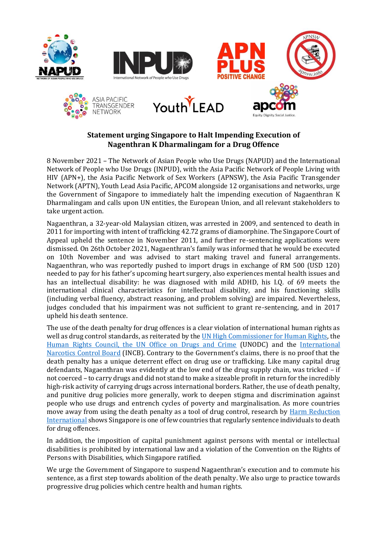











## **Statement urging Singapore to Halt Impending Execution of Nagenthran K Dharmalingam for a Drug Offence**

8 November 2021 – The Network of Asian People who Use Drugs (NAPUD) and the International Network of People who Use Drugs (INPUD), with the Asia Pacific Network of People Living with HIV (APN+), the Asia Pacific Network of Sex Workers (APNSW), the Asia Pacific Transgender Network (APTN), Youth Lead Asia Pacific, APCOM alongside 12 organisations and networks, urge the Government of Singapore to immediately halt the impending execution of Nagaenthran K Dharmalingam and calls upon UN entities, the European Union, and all relevant stakeholders to take urgent action.

Nagaenthran, a 32-year-old Malaysian citizen, was arrested in 2009, and sentenced to death in 2011 for importing with intent of trafficking 42.72 grams of diamorphine. The Singapore Court of Appeal upheld the sentence in November 2011, and further re-sentencing applications were dismissed. On 26th October 2021, Nagaenthran's family was informed that he would be executed on 10th November and was advised to start making travel and funeral arrangements. Nagaenthran, who was reportedly pushed to import drugs in exchange of RM 500 (USD 120) needed to pay for his father's upcoming heart surgery, also experiences mental health issues and has an intellectual disability: he was diagnosed with mild ADHD, his I.Q. of 69 meets the international clinical characteristics for intellectual disability, and his functioning skills (including verbal fluency, abstract reasoning, and problem solving) are impaired. Nevertheless, judges concluded that his impairment was not sufficient to grant re-sentencing, and in 2017 upheld his death sentence.

The use of the death penalty for drug offences is a clear violation of international human rights as well as drug control standards, as reiterated by the **UN High Commissioner for Human Rights**, the [Human Rights Council, the UN Office on Drugs and Crime](https://www.unodc.org/unodc/en/press/releases/2019/June/statement-attributable-to-the-unodc-spokesperson-on-the-use-of-the-death-penalty.html) (UNODC) and the [International](https://www.incb.org/documents/News/Alerts/Alert12_on_Convention_Implementation_June_2019.pdf)  [Narcotics Control Board](https://www.incb.org/documents/News/Alerts/Alert12_on_Convention_Implementation_June_2019.pdf) (INCB). Contrary to the Government's claims, there is no proof that the death penalty has a unique deterrent effect on drug use or trafficking. Like many capital drug defendants, Nagaenthran was evidently at the low end of the drug supply chain, was tricked – if not coerced – to carry drugs and did not stand to make a sizeable profit in return for the incredibly high-risk activity of carrying drugs across international borders. Rather, the use of death penalty, and punitive drug policies more generally, work to deepen stigma and discrimination against people who use drugs and entrench cycles of poverty and marginalisation. As more countries move away from using the death penalty as a tool of drug control, research by [Harm Reduction](https://www.hri.global/files/2020/02/28/HRI_DeathPenaltyReport2019.pdf)  [International](https://www.hri.global/files/2020/02/28/HRI_DeathPenaltyReport2019.pdf) shows Singapore is one of few countries that regularly sentence individuals to death for drug offences.

In addition, the imposition of capital punishment against persons with mental or intellectual disabilities is prohibited by international law and a violation of the Convention on the Rights of Persons with Disabilities, which Singapore ratified.

We urge the Government of Singapore to suspend Nagaenthran's execution and to commute his sentence, as a first step towards abolition of the death penalty. We also urge to practice towards progressive drug policies which centre health and human rights.